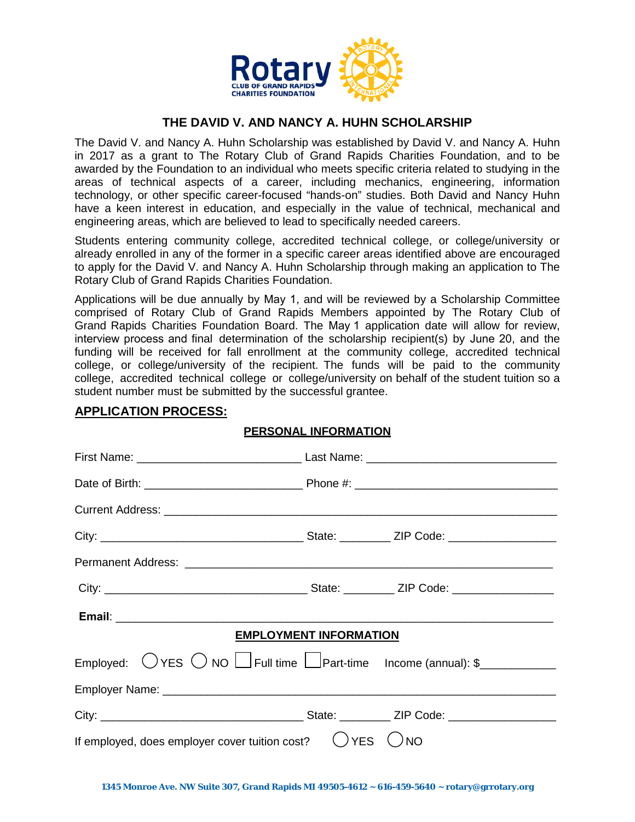

### **THE DAVID V. AND NANCY A. HUHN SCHOLARSHIP**

The David V. and Nancy A. Huhn Scholarship was established by David V. and Nancy A. Huhn in 2017 as a grant to The Rotary Club of Grand Rapids Charities Foundation, and to be awarded by the Foundation to an individual who meets specific criteria related to studying in the areas of technical aspects of a career, including mechanics, engineering, information technology, or other specific career-focused "hands-on" studies. Both David and Nancy Huhn have a keen interest in education, and especially in the value of technical, mechanical and engineering areas, which are believed to lead to specifically needed careers.

Students entering community college, accredited technical college, or college/university or already enrolled in any of the former in a specific career areas identified above are encouraged to apply for the David V. and Nancy A. Huhn Scholarship through making an application to The Rotary Club of Grand Rapids Charities Foundation.

Applications will be due annually by May 1, and will be reviewed by a Scholarship Committee comprised of Rotary Club of Grand Rapids Members appointed by The Rotary Club of Grand Rapids Charities Foundation Board. The May 1 application date will allow for review, interview process and final determination of the scholarship recipient(s) by June 20, and the funding will be received for fall enrollment at the community college, accredited technical college, or college/university of the recipient. The funds will be paid to the community college, accredited technical college or college/university on behalf of the student tuition so a student number must be submitted by the successful grantee.

**PERSONAL INFORMATION**

# First Name: \_\_\_\_\_\_\_\_\_\_\_\_\_\_\_\_\_\_\_\_\_\_\_\_\_\_ Last Name: \_\_\_\_\_\_\_\_\_\_\_\_\_\_\_\_\_\_\_\_\_\_\_\_\_\_\_\_\_\_ Date of Birth: \_\_\_\_\_\_\_\_\_\_\_\_\_\_\_\_\_\_\_\_\_\_\_\_\_ Phone #: \_\_\_\_\_\_\_\_\_\_\_\_\_\_\_\_\_\_\_\_\_\_\_\_\_\_\_\_\_\_\_\_ Current Address: **Example 2018** City: \_\_\_\_\_\_\_\_\_\_\_\_\_\_\_\_\_\_\_\_\_\_\_\_\_\_\_\_\_\_\_\_ State: \_\_\_\_\_\_\_\_ ZIP Code: \_\_\_\_\_\_\_\_\_\_\_\_\_\_\_\_\_ Permanent Address: **Example 2018** City: The Code: the State: The State:  $\Box$  ZIP Code:  $\Box$  ZIP Code:  $\Box$  ZIP Code:  $\Box$  ZIP Code:  $\Box$  ZIP Code:  $\Box$  ZIP Code:  $\Box$  ZIP Code:  $\Box$  ZIP Code:  $\Box$  ZIP Code:  $\Box$  ZIP Code:  $\Box$  ZIP Code:  $\Box$  ZIP Code:  $\Box$ **Email**: **Email Email Email Email Email Email Email Email Email Email Email Email Email Email Email Email Email Email Email Email Email Email Email Email Email Email Emai EMPLOYMENT INFORMATION** Employed:  $\bigcirc$  YES  $\bigcirc$  NO  $\Box$  Full time  $\Box$  Part-time Income (annual): \$ Employer Name: \_\_\_\_\_\_\_\_\_\_\_\_\_\_\_\_\_\_\_\_\_\_\_\_\_\_\_\_\_\_\_\_\_\_\_\_\_\_\_\_\_\_\_\_\_\_\_\_\_\_\_\_\_\_\_\_\_\_\_\_\_\_ City: \_\_\_\_\_\_\_\_\_\_\_\_\_\_\_\_\_\_\_\_\_\_\_\_\_\_\_\_\_\_\_\_ State: \_\_\_\_\_\_\_\_ ZIP Code: \_\_\_\_\_\_\_\_\_\_\_\_\_\_\_\_\_ If employed, does employer cover tuition cost?  $\bigcirc$  YES  $\bigcirc$  NO

## **APPLICATION PROCESS:**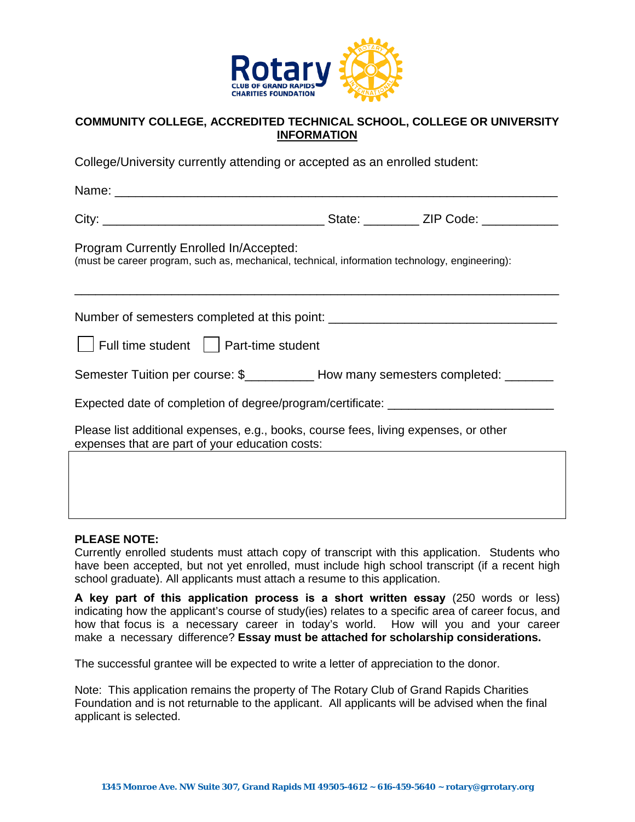

#### **COMMUNITY COLLEGE, ACCREDITED TECHNICAL SCHOOL, COLLEGE OR UNIVERSITY INFORMATION**

College/University currently attending or accepted as an enrolled student:

Name:  $\blacksquare$ 

City: \_\_\_\_\_\_\_\_\_\_\_\_\_\_\_\_\_\_\_\_\_\_\_\_\_\_\_\_\_\_\_\_ State: \_\_\_\_\_\_\_\_ ZIP Code: \_\_\_\_\_\_\_\_\_\_\_

Program Currently Enrolled In/Accepted:

(must be career program, such as, mechanical, technical, information technology, engineering):

Number of semesters completed at this point: \_\_\_\_\_\_\_\_\_\_\_\_\_\_\_\_\_\_\_\_\_\_\_\_\_\_\_\_\_\_\_\_\_\_\_

\_\_\_\_\_\_\_\_\_\_\_\_\_\_\_\_\_\_\_\_\_\_\_\_\_\_\_\_\_\_\_\_\_\_\_\_\_\_\_\_\_\_\_\_\_\_\_\_\_\_\_\_\_\_\_\_\_\_\_\_\_\_\_\_\_\_\_\_\_\_

 $\vert\ \ \vert$  Full time student  $\ \ \vert\ \ \vert$  Part-time student

Semester Tuition per course: \$\_\_\_\_\_\_\_\_\_\_\_ How many semesters completed: \_\_\_\_\_\_\_

Expected date of completion of degree/program/certificate:

Please list additional expenses, e.g., books, course fees, living expenses, or other expenses that are part of your education costs:

#### **PLEASE NOTE:**

Currently enrolled students must attach copy of transcript with this application. Students who have been accepted, but not yet enrolled, must include high school transcript (if a recent high school graduate). All applicants must attach a resume to this application.

**A key part of this application process is a short written essay** (250 words or less) indicating how the applicant's course of study(ies) relates to a specific area of career focus, and how that focus is a necessary career in today's world. How will you and your career make a necessary difference? **Essay must be attached for scholarship considerations.** 

The successful grantee will be expected to write a letter of appreciation to the donor.

Note: This application remains the property of The Rotary Club of Grand Rapids Charities Foundation and is not returnable to the applicant. All applicants will be advised when the final applicant is selected.